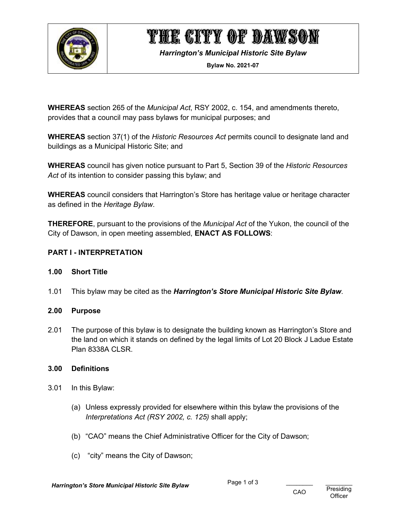

# THE CITY OF DAWSON

*Harrington's Municipal Historic Site Bylaw*

**Bylaw No. 2021-07**

**WHEREAS** section 265 of the *Municipal Act*, RSY 2002, c. 154, and amendments thereto, provides that a council may pass bylaws for municipal purposes; and

**WHEREAS** section 37(1) of the *Historic Resources Act* permits council to designate land and buildings as a Municipal Historic Site; and

**WHEREAS** council has given notice pursuant to Part 5, Section 39 of the *Historic Resources Act* of its intention to consider passing this bylaw; and

**WHEREAS** council considers that Harrington's Store has heritage value or heritage character as defined in the *Heritage Bylaw*.

**THEREFORE**, pursuant to the provisions of the *Municipal Act* of the Yukon, the council of the City of Dawson, in open meeting assembled, **ENACT AS FOLLOWS**:

### **PART I - INTERPRETATION**

### **1.00 Short Title**

1.01 This bylaw may be cited as the *Harrington's Store Municipal Historic Site Bylaw*.

### **2.00 Purpose**

2.01 The purpose of this bylaw is to designate the building known as Harrington's Store and the land on which it stands on defined by the legal limits of Lot 20 Block J Ladue Estate **Plan 8338A CLSR.** 

#### **3.00 Definitions**

- 3.01 In this Bylaw:
	- (a) Unless expressly provided for elsewhere within this bylaw the provisions of the *Interpretations Act (RSY 2002, c. 125)* shall apply;
	- (b) "CAO" means the Chief Administrative Officer for the City of Dawson;
	- (c) "city" means the City of Dawson;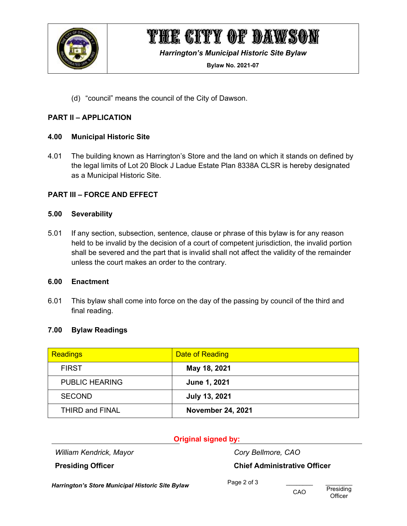

# THE CITY OF DAWSON

*Harrington's Municipal Historic Site Bylaw*

**Bylaw No. 2021-07**

(d) "council" means the council of the City of Dawson.

### **PART II – APPLICATION**

#### **4.00 Municipal Historic Site**

4.01 The building known as Harrington's Store and the land on which it stands on defined by the legal limits of Lot 20 Block J Ladue Estate Plan 8338A CLSR is hereby designated as a Municipal Historic Site.

### **PART III – FORCE AND EFFECT**

#### **5.00 Severability**

5.01 If any section, subsection, sentence, clause or phrase of this bylaw is for any reason held to be invalid by the decision of a court of competent jurisdiction, the invalid portion shall be severed and the part that is invalid shall not affect the validity of the remainder unless the court makes an order to the contrary.

#### **6.00 Enactment**

6.01 This bylaw shall come into force on the day of the passing by council of the third and final reading.

### **7.00 Bylaw Readings**

| <b>Readings</b>        | <b>Date of Reading</b>   |
|------------------------|--------------------------|
| <b>FIRST</b>           | May 18, 2021             |
| <b>PUBLIC HEARING</b>  | June 1, 2021             |
| <b>SECOND</b>          | <b>July 13, 2021</b>     |
| <b>THIRD and FINAL</b> | <b>November 24, 2021</b> |

### **Original signed by:**

*William Kendrick, Mayor Cory Bellmore, CAO*

**Presiding Officer Chief Administrative Officer**

*Harrington's Store Municipal Historic Site Bylaw* Page 2 of 3 \_\_\_\_\_\_\_\_\_\_\_\_\_\_\_\_\_\_\_<br>CAO